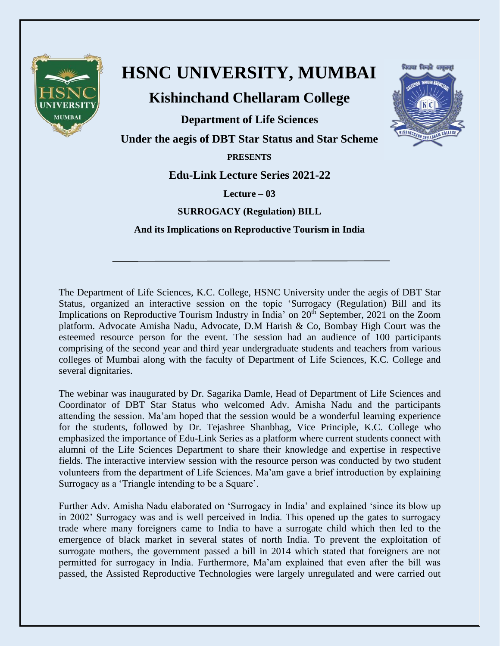

## **HSNC UNIVERSITY, MUMBAI**

**Kishinchand Chellaram College**

**Department of Life Sciences**

**Under the aegis of DBT Star Status and Star Scheme**

**PRESENTS**

**Edu-Link Lecture Series 2021-22**

**Lecture – 03**

**SURROGACY (Regulation) BILL**

**And its Implications on Reproductive Tourism in India**

The Department of Life Sciences, K.C. College, HSNC University under the aegis of DBT Star Status, organized an interactive session on the topic 'Surrogacy (Regulation) Bill and its Implications on Reproductive Tourism Industry in India' on 20<sup>th</sup> September, 2021 on the Zoom platform. Advocate Amisha Nadu, Advocate, D.M Harish & Co, Bombay High Court was the esteemed resource person for the event. The session had an audience of 100 participants comprising of the second year and third year undergraduate students and teachers from various colleges of Mumbai along with the faculty of Department of Life Sciences, K.C. College and several dignitaries.

The webinar was inaugurated by Dr. Sagarika Damle, Head of Department of Life Sciences and Coordinator of DBT Star Status who welcomed Adv. Amisha Nadu and the participants attending the session. Ma'am hoped that the session would be a wonderful learning experience for the students, followed by Dr. Tejashree Shanbhag, Vice Principle, K.C. College who emphasized the importance of Edu-Link Series as a platform where current students connect with alumni of the Life Sciences Department to share their knowledge and expertise in respective fields. The interactive interview session with the resource person was conducted by two student volunteers from the department of Life Sciences. Ma'am gave a brief introduction by explaining Surrogacy as a 'Triangle intending to be a Square'.

Further Adv. Amisha Nadu elaborated on 'Surrogacy in India' and explained 'since its blow up in 2002' Surrogacy was and is well perceived in India. This opened up the gates to surrogacy trade where many foreigners came to India to have a surrogate child which then led to the emergence of black market in several states of north India. To prevent the exploitation of surrogate mothers, the government passed a bill in 2014 which stated that foreigners are not permitted for surrogacy in India. Furthermore, Ma'am explained that even after the bill was passed, the Assisted Reproductive Technologies were largely unregulated and were carried out